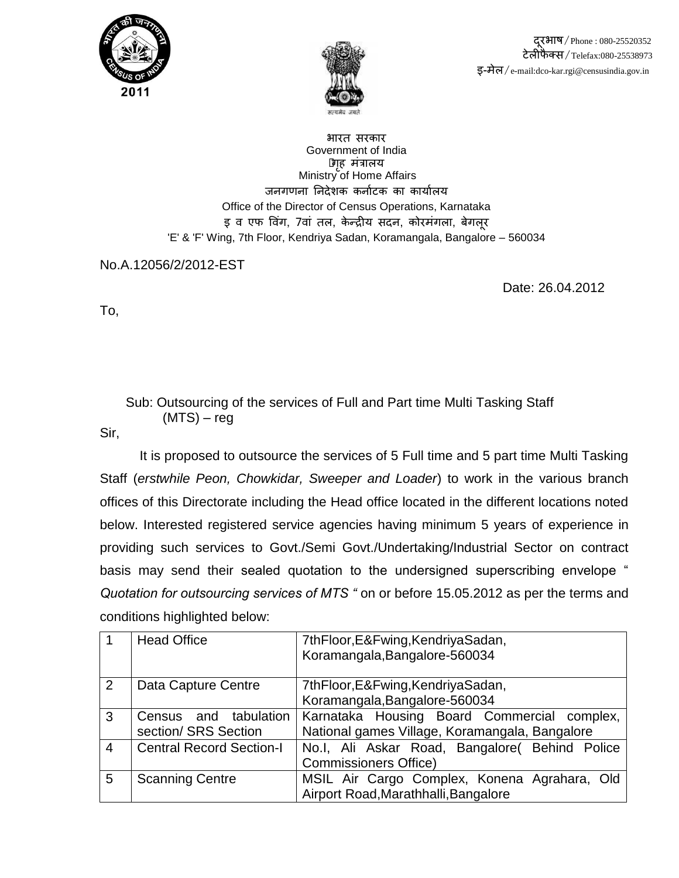



 दरूभाष/Phone : 080-25520352 टेऱीफै क्स/Telefax:080-25538973 इ-मेऱ/e-mail:dco-kar.rgi@censusindia.gov.in

भारत सरकार Government of India •गहृ मंत्राऱय Ministry of Home Affairs जनगणना निदेशक कर्नाटक का कार्यालय Office of the Director of Census Operations, Karnataka इ व एफ विंग, 7वां तल, केन्द्रीय सदन, कोरमंगला, बेगलर 'E' & 'F' Wing, 7th Floor, Kendriya Sadan, Koramangala, Bangalore – 560034

No.A.12056/2/2012-EST

Date: 26.04.2012

To,

 Sub: Outsourcing of the services of Full and Part time Multi Tasking Staff (MTS) – reg

Sir,

It is proposed to outsource the services of 5 Full time and 5 part time Multi Tasking Staff (*erstwhile Peon, Chowkidar, Sweeper and Loader*) to work in the various branch offices of this Directorate including the Head office located in the different locations noted below. Interested registered service agencies having minimum 5 years of experience in providing such services to Govt./Semi Govt./Undertaking/Industrial Sector on contract basis may send their sealed quotation to the undersigned superscribing envelope " *Quotation for outsourcing services of MTS "* on or before 15.05.2012 as per the terms and conditions highlighted below:

|                | <b>Head Office</b>              | 7thFloor, E& Fwing, Kendriya Sadan,            |  |  |
|----------------|---------------------------------|------------------------------------------------|--|--|
|                |                                 | Koramangala, Bangalore-560034                  |  |  |
| 2              | Data Capture Centre             | 7thFloor, E& Fwing, Kendriya Sadan,            |  |  |
|                |                                 | Koramangala, Bangalore-560034                  |  |  |
| 3              | tabulation<br>and<br>Census     | Karnataka Housing Board Commercial complex,    |  |  |
|                | section/ SRS Section            | National games Village, Koramangala, Bangalore |  |  |
| $\overline{4}$ | <b>Central Record Section-I</b> | No.I, Ali Askar Road, Bangalore( Behind Police |  |  |
|                |                                 | <b>Commissioners Office)</b>                   |  |  |
| 5              | <b>Scanning Centre</b>          | MSIL Air Cargo Complex, Konena Agrahara, Old   |  |  |
|                |                                 | Airport Road, Marathhalli, Bangalore           |  |  |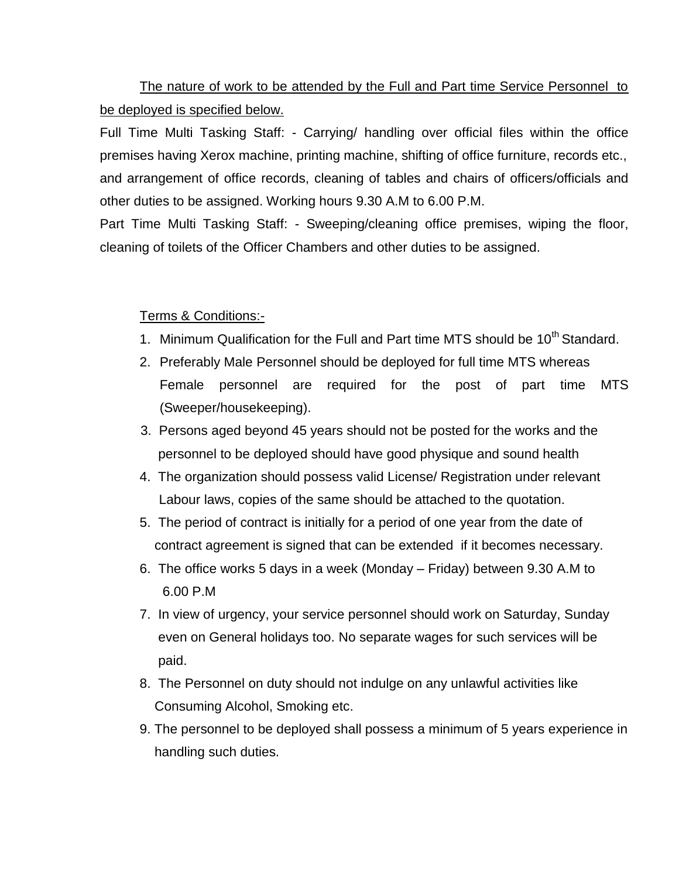The nature of work to be attended by the Full and Part time Service Personnel to be deployed is specified below.

Full Time Multi Tasking Staff: - Carrying/ handling over official files within the office premises having Xerox machine, printing machine, shifting of office furniture, records etc., and arrangement of office records, cleaning of tables and chairs of officers/officials and other duties to be assigned. Working hours 9.30 A.M to 6.00 P.M.

Part Time Multi Tasking Staff: - Sweeping/cleaning office premises, wiping the floor, cleaning of toilets of the Officer Chambers and other duties to be assigned.

## Terms & Conditions:-

- 1. Minimum Qualification for the Full and Part time MTS should be 10<sup>th</sup> Standard.
- 2. Preferably Male Personnel should be deployed for full time MTS whereas Female personnel are required for the post of part time MTS (Sweeper/housekeeping).
- 3. Persons aged beyond 45 years should not be posted for the works and the personnel to be deployed should have good physique and sound health
- 4. The organization should possess valid License/ Registration under relevant Labour laws, copies of the same should be attached to the quotation.
- 5. The period of contract is initially for a period of one year from the date of contract agreement is signed that can be extended if it becomes necessary.
- 6. The office works 5 days in a week (Monday Friday) between 9.30 A.M to 6.00 P.M
- 7. In view of urgency, your service personnel should work on Saturday, Sunday even on General holidays too. No separate wages for such services will be paid.
- 8. The Personnel on duty should not indulge on any unlawful activities like Consuming Alcohol, Smoking etc.
- 9. The personnel to be deployed shall possess a minimum of 5 years experience in handling such duties.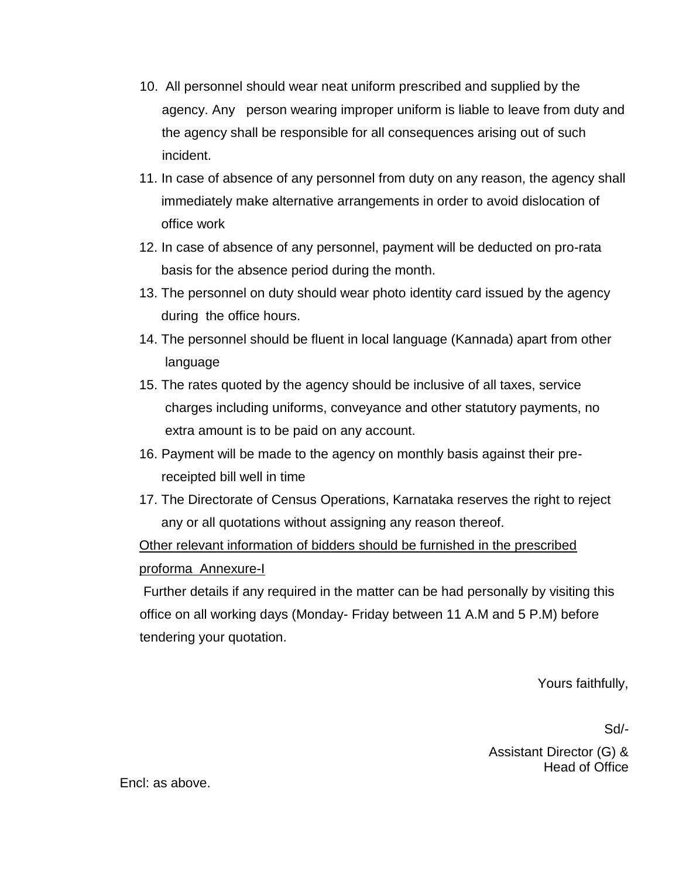- 10. All personnel should wear neat uniform prescribed and supplied by the agency. Any person wearing improper uniform is liable to leave from duty and the agency shall be responsible for all consequences arising out of such incident.
- 11. In case of absence of any personnel from duty on any reason, the agency shall immediately make alternative arrangements in order to avoid dislocation of office work
- 12. In case of absence of any personnel, payment will be deducted on pro-rata basis for the absence period during the month.
- 13. The personnel on duty should wear photo identity card issued by the agency during the office hours.
- 14. The personnel should be fluent in local language (Kannada) apart from other language
- 15. The rates quoted by the agency should be inclusive of all taxes, service charges including uniforms, conveyance and other statutory payments, no extra amount is to be paid on any account.
- 16. Payment will be made to the agency on monthly basis against their pre receipted bill well in time
- 17. The Directorate of Census Operations, Karnataka reserves the right to reject any or all quotations without assigning any reason thereof.

Other relevant information of bidders should be furnished in the prescribed proforma Annexure-I

Further details if any required in the matter can be had personally by visiting this office on all working days (Monday- Friday between 11 A.M and 5 P.M) before tendering your quotation.

Yours faithfully,

Sd/-

Assistant Director (G) & Head of Office

Encl: as above.